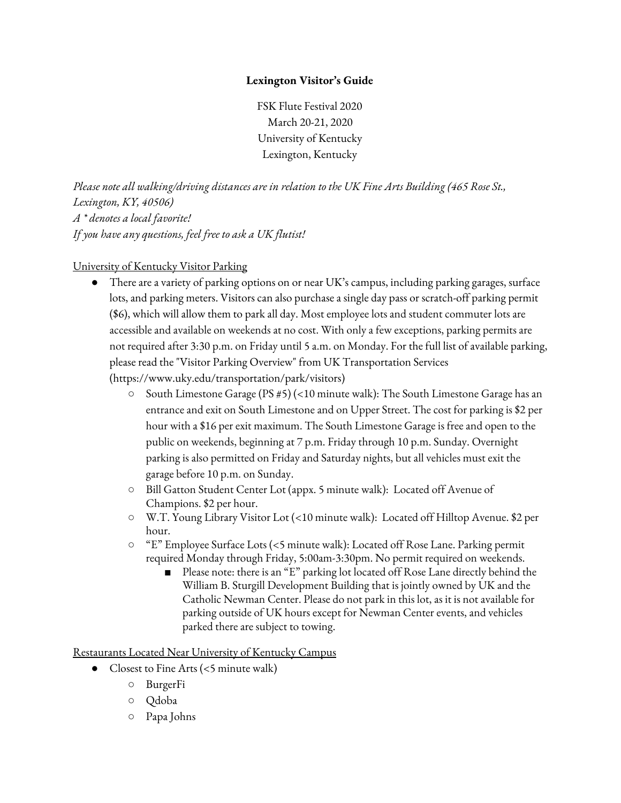## **Lexington Visitor's Guide**

FSK Flute Festival 2020 March 20-21, 2020 University of Kentucky Lexington, Kentucky

*Please note all walking/driving distances are in relation to the UK Fine Arts Building (465 Rose St., Lexington, KY, 40506) A \* denotes a local favorite! If you have any questions, feel free to ask a UK flutist!*

## University of Kentucky Visitor Parking

- There are a variety of parking options on or near UK's campus, including parking garages, surface lots, and parking meters. Visitors can also purchase a single day pass or scratch-off parking permit (\$6), which will allow them to park all day. Most employee lots and student commuter lots are accessible and available on weekends at no cost. With only a few exceptions, parking permits are not required after 3:30 p.m. on Friday until 5 a.m. on Monday. For the full list of available parking, please read the "Visitor Parking Overview" from UK Transportation Services ([https://www.uky.edu/transportation/park/visitors\)](https://www.uky.edu/transportation/park/visitors?fbclid=IwAR2v5rn2962kzokS0rMavuWdBG753awjwX9dKEfkQwLQS-QZAaZY975YWAM)
	- South Limestone Garage (PS #5) (<10 minute walk): The South Limestone Garage has an entrance and exit on South Limestone and on Upper Street. The cost for parking is \$2 per hour with a \$16 per exit maximum. The South Limestone Garage is free and open to the public on weekends, beginning at 7 p.m. Friday through 10 p.m. Sunday. Overnight parking is also permitted on Friday and Saturday nights, but all vehicles must exit the garage before 10 p.m. on Sunday.
	- Bill Gatton Student Center Lot (appx. 5 minute walk): Located off Avenue of Champions. \$2 per hour.
	- W.T. Young Library Visitor Lot (<10 minute walk): Located off Hilltop Avenue. \$2 per hour.
	- "E" Employee Surface Lots (<5 minute walk): Located off Rose Lane. Parking permit required Monday through Friday, 5:00am-3:30pm. No permit required on weekends.
		- Please note: there is an "E" parking lot located off Rose Lane directly behind the William B. Sturgill Development Building that is jointly owned by UK and the Catholic Newman Center. Please do not park in this lot, as it is not available for parking outside of UK hours except for Newman Center events, and vehicles parked there are subject to towing.

Restaurants Located Near University of Kentucky Campus

- Closest to Fine Arts (<5 minute walk)
	- BurgerFi
	- Qdoba
	- Papa Johns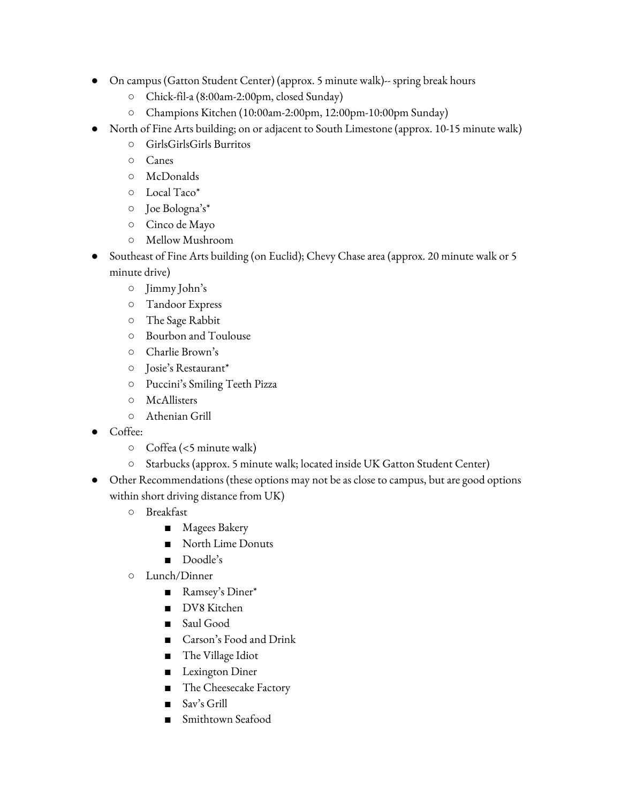- On campus (Gatton Student Center) (approx. 5 minute walk)-- spring break hours
	- Chick-fil-a (8:00am-2:00pm, closed Sunday)
	- Champions Kitchen (10:00am-2:00pm, 12:00pm-10:00pm Sunday)
	- North of Fine Arts building; on or adjacent to South Limestone (approx. 10-15 minute walk)
		- GirlsGirlsGirls Burritos
		- Canes
		- McDonalds
		- Local Taco\*
		- Joe Bologna's\*
		- Cinco de Mayo
		- Mellow Mushroom
- Southeast of Fine Arts building (on Euclid); Chevy Chase area (approx. 20 minute walk or 5 minute drive)
	- Jimmy John's
	- Tandoor Express
	- The Sage Rabbit
	- Bourbon and Toulouse
	- Charlie Brown's
	- Josie's Restaurant\*
	- Puccini's Smiling Teeth Pizza
	- McAllisters
	- Athenian Grill
- Coffee:
	- Coffea (<5 minute walk)
	- Starbucks (approx. 5 minute walk; located inside UK Gatton Student Center)
- Other Recommendations (these options may not be as close to campus, but are good options within short driving distance from UK)
	- Breakfast
		- Magees Bakery
		- North Lime Donuts
		- Doodle's
	- Lunch/Dinner
		- Ramsey's Diner\*
		- DV8 Kitchen
		- Saul Good
		- Carson's Food and Drink
		- The Village Idiot
		- Lexington Diner
		- The Cheesecake Factory
		- Sav's Grill
		- Smithtown Seafood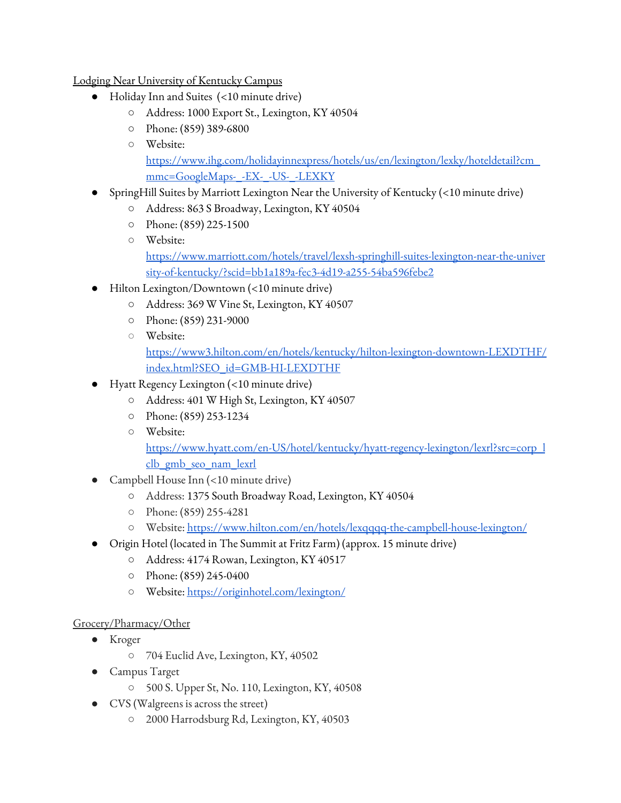## Lodging Near University of Kentucky Campus

- Holiday Inn and Suites (<10 minute drive)
	- Address: 1000 Export St., Lexington, KY 40504
	- Phone: (859) 389-6800
	- Website:

[https://www.ihg.com/holidayinnexpress/hotels/us/en/lexington/lexky/hoteldetail?cm\\_](https://www.ihg.com/holidayinnexpress/hotels/us/en/lexington/lexky/hoteldetail?cm_mmc=GoogleMaps-_-EX-_-US-_-LEXKY) [mmc=GoogleMaps-\\_-EX-\\_-US-\\_-LEXKY](https://www.ihg.com/holidayinnexpress/hotels/us/en/lexington/lexky/hoteldetail?cm_mmc=GoogleMaps-_-EX-_-US-_-LEXKY)

- $\sim$  SpringHill Suites by Marriott Lexington Near the University of Kentucky (<10 minute drive)
	- Address: 863 S Broadway, Lexington, KY 40504
	- Phone: (859) 225-1500
	- Website: [https://www.marriott.com/hotels/travel/lexsh-springhill-suites-lexington-near-the-univer](https://www.marriott.com/hotels/travel/lexsh-springhill-suites-lexington-near-the-university-of-kentucky/?scid=bb1a189a-fec3-4d19-a255-54ba596febe2) [sity-of-kentucky/?scid=bb1a189a-fec3-4d19-a255-54ba596febe2](https://www.marriott.com/hotels/travel/lexsh-springhill-suites-lexington-near-the-university-of-kentucky/?scid=bb1a189a-fec3-4d19-a255-54ba596febe2)
- Hilton Lexington/Downtown (<10 minute drive)
	- Address: 369 W Vine St, Lexington, KY 40507
	- Phone: (859) 231-9000
	- Website:

[https://www3.hilton.com/en/hotels/kentucky/hilton-lexington-downtown-LEXDTHF/](https://www3.hilton.com/en/hotels/kentucky/hilton-lexington-downtown-LEXDTHF/index.html?SEO_id=GMB-HI-LEXDTHF) [index.html?SEO\\_id=GMB-HI-LEXDTHF](https://www3.hilton.com/en/hotels/kentucky/hilton-lexington-downtown-LEXDTHF/index.html?SEO_id=GMB-HI-LEXDTHF)

- Hyatt Regency Lexington (<10 minute drive)
	- Address: 401 W High St, Lexington, KY 40507
	- Phone: (859) 253-1234
	- Website:

[https://www.hyatt.com/en-US/hotel/kentucky/hyatt-regency-lexington/lexrl?src=corp\\_l](https://www.hyatt.com/en-US/hotel/kentucky/hyatt-regency-lexington/lexrl?src=corp_lclb_gmb_seo_nam_lexrl) [clb\\_gmb\\_seo\\_nam\\_lexrl](https://www.hyatt.com/en-US/hotel/kentucky/hyatt-regency-lexington/lexrl?src=corp_lclb_gmb_seo_nam_lexrl)

- Campbell House Inn (<10 minute drive)
	- Address: 1375 South Broadway Road, [Lexington,](http://maps.google.com/?q=1375%20South%20Broadway%20Road%20Lexington,%20KY%2040504,%20US) KY 40504
	- Phone: (859) 255-4281
	- Website: <https://www.hilton.com/en/hotels/lexqqqq-the-campbell-house-lexington/>
- Origin Hotel (located in The Summit at Fritz Farm) (approx. 15 minute drive)
	- Address: 4174 Rowan, Lexington, KY 40517
	- Phone: (859) 245-0400
	- Website: <https://originhotel.com/lexington/>

## Grocery/Pharmacy/Other

- Kroger
	- 704 Euclid Ave, Lexington, KY, 40502
- Campus Target
	- 500 S. Upper St, No. 110, Lexington, KY, 40508
- CVS (Walgreens is across the street)
	- 2000 Harrodsburg Rd, Lexington, KY, 40503